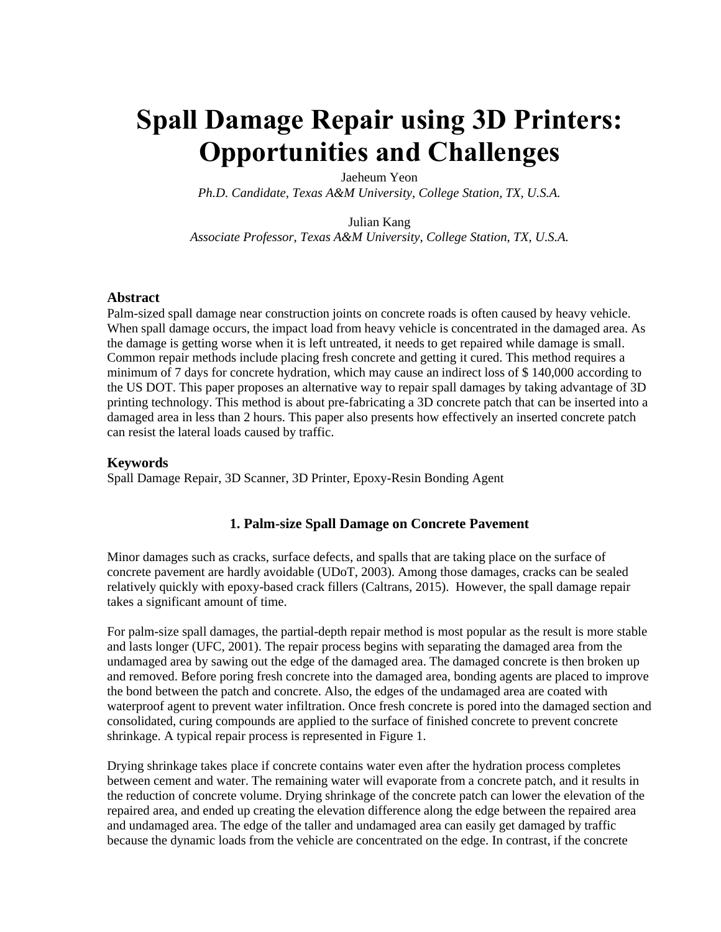# **Spall Damage Repair using 3D Printers: Opportunities and Challenges**

Jaeheum Yeon *Ph.D. Candidate, Texas A&M University, College Station, TX, U.S.A.* 

Julian Kang

*Associate Professor, Texas A&M University, College Station, TX, U.S.A.* 

#### **Abstract**

Palm-sized spall damage near construction joints on concrete roads is often caused by heavy vehicle. When spall damage occurs, the impact load from heavy vehicle is concentrated in the damaged area. As the damage is getting worse when it is left untreated, it needs to get repaired while damage is small. Common repair methods include placing fresh concrete and getting it cured. This method requires a minimum of 7 days for concrete hydration, which may cause an indirect loss of \$ 140,000 according to the US DOT. This paper proposes an alternative way to repair spall damages by taking advantage of 3D printing technology. This method is about pre-fabricating a 3D concrete patch that can be inserted into a damaged area in less than 2 hours. This paper also presents how effectively an inserted concrete patch can resist the lateral loads caused by traffic.

#### **Keywords**

Spall Damage Repair, 3D Scanner, 3D Printer, Epoxy-Resin Bonding Agent

### **1. Palm-size Spall Damage on Concrete Pavement**

Minor damages such as cracks, surface defects, and spalls that are taking place on the surface of concrete pavement are hardly avoidable (UDoT, 2003). Among those damages, cracks can be sealed relatively quickly with epoxy-based crack fillers (Caltrans, 2015). However, the spall damage repair takes a significant amount of time.

For palm-size spall damages, the partial-depth repair method is most popular as the result is more stable and lasts longer (UFC, 2001). The repair process begins with separating the damaged area from the undamaged area by sawing out the edge of the damaged area. The damaged concrete is then broken up and removed. Before poring fresh concrete into the damaged area, bonding agents are placed to improve the bond between the patch and concrete. Also, the edges of the undamaged area are coated with waterproof agent to prevent water infiltration. Once fresh concrete is pored into the damaged section and consolidated, curing compounds are applied to the surface of finished concrete to prevent concrete shrinkage. A typical repair process is represented in Figure 1.

Drying shrinkage takes place if concrete contains water even after the hydration process completes between cement and water. The remaining water will evaporate from a concrete patch, and it results in the reduction of concrete volume. Drying shrinkage of the concrete patch can lower the elevation of the repaired area, and ended up creating the elevation difference along the edge between the repaired area and undamaged area. The edge of the taller and undamaged area can easily get damaged by traffic because the dynamic loads from the vehicle are concentrated on the edge. In contrast, if the concrete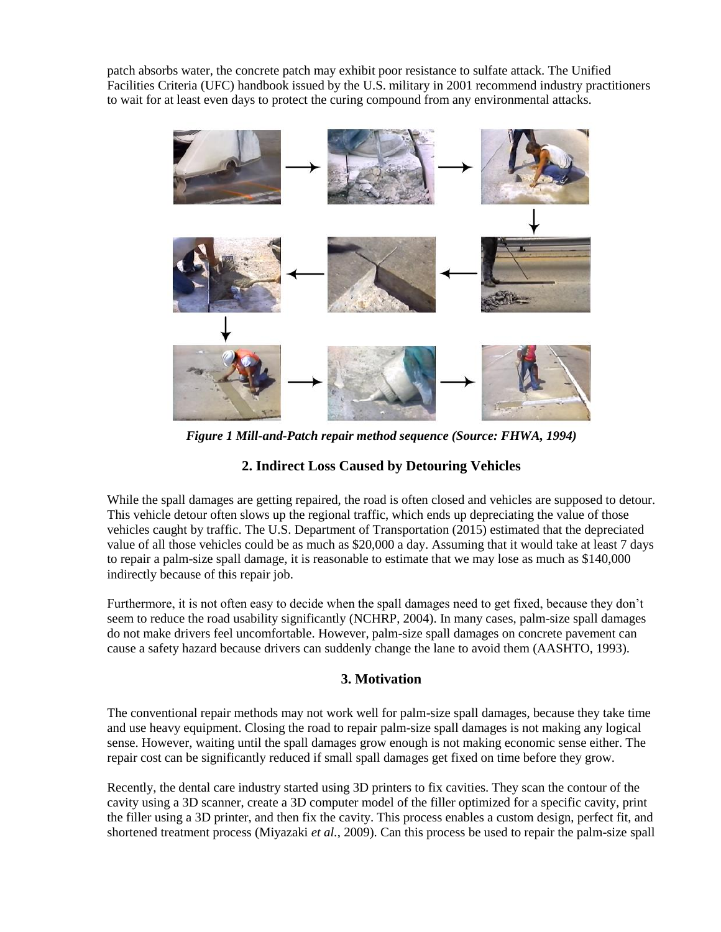patch absorbs water, the concrete patch may exhibit poor resistance to sulfate attack. The Unified Facilities Criteria (UFC) handbook issued by the U.S. military in 2001 recommend industry practitioners to wait for at least even days to protect the curing compound from any environmental attacks.



*Figure 1 Mill-and-Patch repair method sequence (Source: FHWA, 1994)*

# **2. Indirect Loss Caused by Detouring Vehicles**

While the spall damages are getting repaired, the road is often closed and vehicles are supposed to detour. This vehicle detour often slows up the regional traffic, which ends up depreciating the value of those vehicles caught by traffic. The U.S. Department of Transportation (2015) estimated that the depreciated value of all those vehicles could be as much as \$20,000 a day. Assuming that it would take at least 7 days to repair a palm-size spall damage, it is reasonable to estimate that we may lose as much as \$140,000 indirectly because of this repair job.

Furthermore, it is not often easy to decide when the spall damages need to get fixed, because they don't seem to reduce the road usability significantly (NCHRP, 2004). In many cases, palm-size spall damages do not make drivers feel uncomfortable. However, palm-size spall damages on concrete pavement can cause a safety hazard because drivers can suddenly change the lane to avoid them (AASHTO, 1993).

# **3. Motivation**

The conventional repair methods may not work well for palm-size spall damages, because they take time and use heavy equipment. Closing the road to repair palm-size spall damages is not making any logical sense. However, waiting until the spall damages grow enough is not making economic sense either. The repair cost can be significantly reduced if small spall damages get fixed on time before they grow.

Recently, the dental care industry started using 3D printers to fix cavities. They scan the contour of the cavity using a 3D scanner, create a 3D computer model of the filler optimized for a specific cavity, print the filler using a 3D printer, and then fix the cavity. This process enables a custom design, perfect fit, and shortened treatment process (Miyazaki *et al.*, 2009). Can this process be used to repair the palm-size spall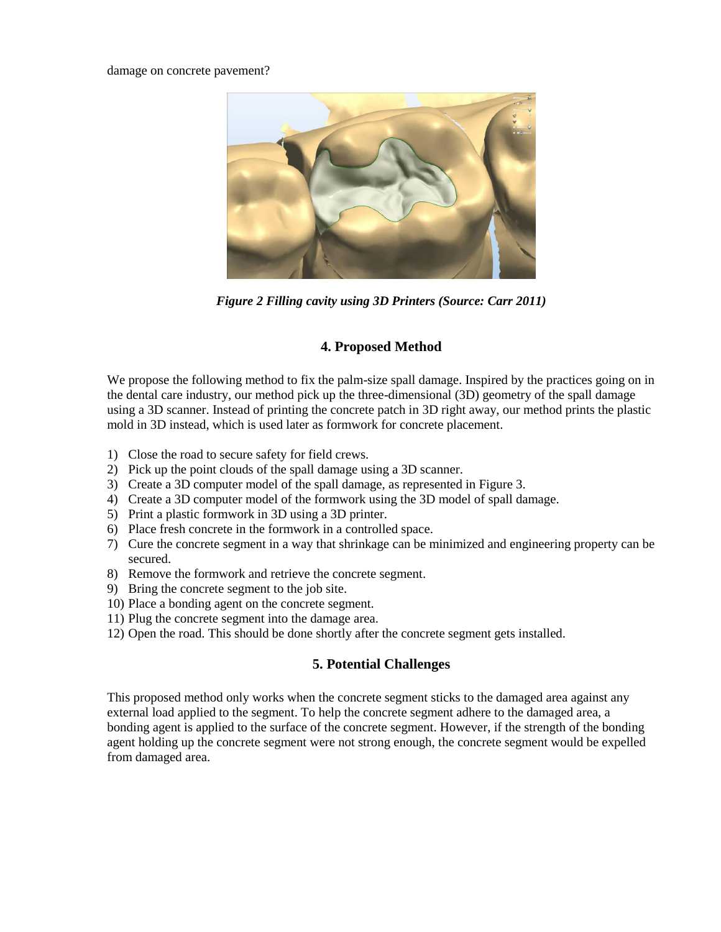#### damage on concrete pavement?



*Figure 2 Filling cavity using 3D Printers (Source: Carr 2011)*

# **4. Proposed Method**

We propose the following method to fix the palm-size spall damage. Inspired by the practices going on in the dental care industry, our method pick up the three-dimensional (3D) geometry of the spall damage using a 3D scanner. Instead of printing the concrete patch in 3D right away, our method prints the plastic mold in 3D instead, which is used later as formwork for concrete placement.

- 1) Close the road to secure safety for field crews.
- 2) Pick up the point clouds of the spall damage using a 3D scanner.
- 3) Create a 3D computer model of the spall damage, as represented in Figure 3.
- 4) Create a 3D computer model of the formwork using the 3D model of spall damage.
- 5) Print a plastic formwork in 3D using a 3D printer.
- 6) Place fresh concrete in the formwork in a controlled space.
- 7) Cure the concrete segment in a way that shrinkage can be minimized and engineering property can be secured.
- 8) Remove the formwork and retrieve the concrete segment.
- 9) Bring the concrete segment to the job site.
- 10) Place a bonding agent on the concrete segment.
- 11) Plug the concrete segment into the damage area.
- 12) Open the road. This should be done shortly after the concrete segment gets installed.

## **5. Potential Challenges**

This proposed method only works when the concrete segment sticks to the damaged area against any external load applied to the segment. To help the concrete segment adhere to the damaged area, a bonding agent is applied to the surface of the concrete segment. However, if the strength of the bonding agent holding up the concrete segment were not strong enough, the concrete segment would be expelled from damaged area.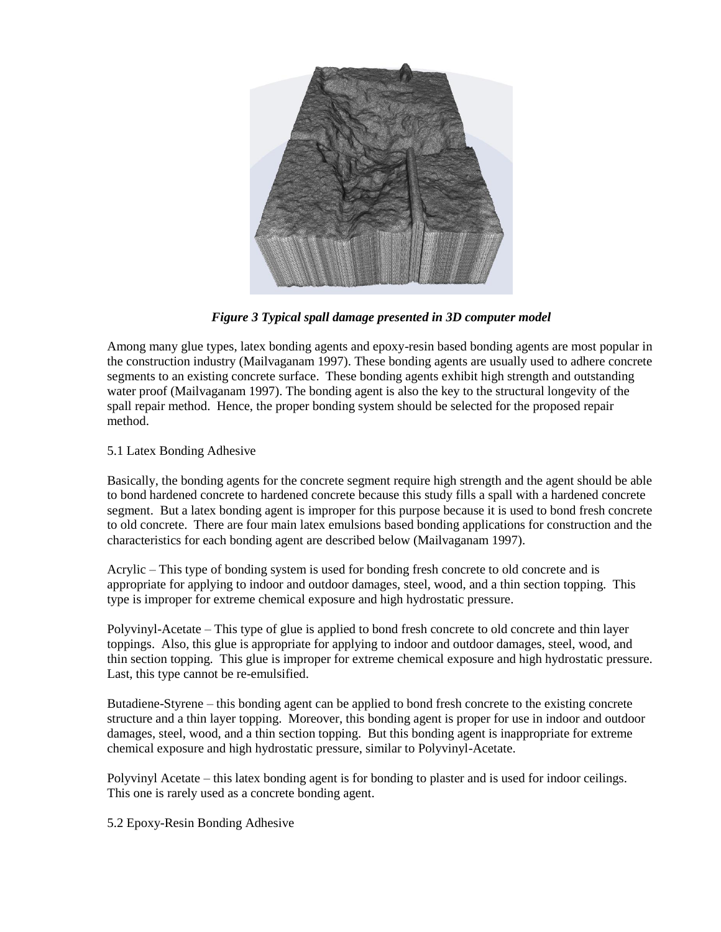

*Figure 3 Typical spall damage presented in 3D computer model*

Among many glue types, latex bonding agents and epoxy-resin based bonding agents are most popular in the construction industry (Mailvaganam 1997). These bonding agents are usually used to adhere concrete segments to an existing concrete surface. These bonding agents exhibit high strength and outstanding water proof (Mailvaganam 1997). The bonding agent is also the key to the structural longevity of the spall repair method. Hence, the proper bonding system should be selected for the proposed repair method.

5.1 Latex Bonding Adhesive

Basically, the bonding agents for the concrete segment require high strength and the agent should be able to bond hardened concrete to hardened concrete because this study fills a spall with a hardened concrete segment. But a latex bonding agent is improper for this purpose because it is used to bond fresh concrete to old concrete. There are four main latex emulsions based bonding applications for construction and the characteristics for each bonding agent are described below (Mailvaganam 1997).

Acrylic – This type of bonding system is used for bonding fresh concrete to old concrete and is appropriate for applying to indoor and outdoor damages, steel, wood, and a thin section topping. This type is improper for extreme chemical exposure and high hydrostatic pressure.

Polyvinyl-Acetate – This type of glue is applied to bond fresh concrete to old concrete and thin layer toppings. Also, this glue is appropriate for applying to indoor and outdoor damages, steel, wood, and thin section topping. This glue is improper for extreme chemical exposure and high hydrostatic pressure. Last, this type cannot be re-emulsified.

Butadiene-Styrene – this bonding agent can be applied to bond fresh concrete to the existing concrete structure and a thin layer topping. Moreover, this bonding agent is proper for use in indoor and outdoor damages, steel, wood, and a thin section topping. But this bonding agent is inappropriate for extreme chemical exposure and high hydrostatic pressure, similar to Polyvinyl-Acetate.

Polyvinyl Acetate – this latex bonding agent is for bonding to plaster and is used for indoor ceilings. This one is rarely used as a concrete bonding agent.

5.2 Epoxy-Resin Bonding Adhesive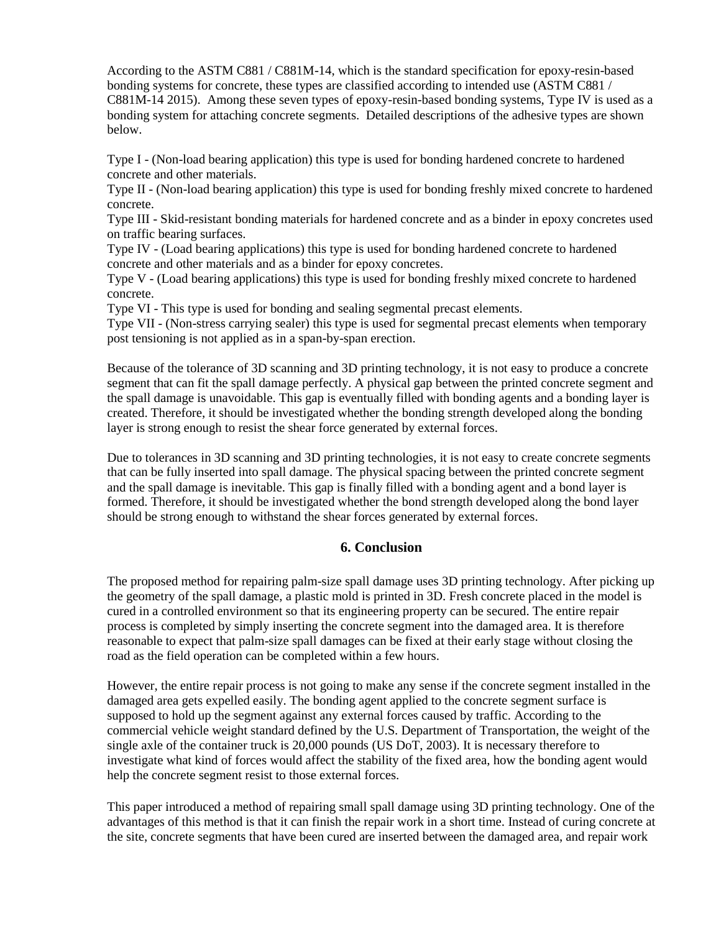According to the ASTM C881 / C881M-14, which is the standard specification for epoxy-resin-based bonding systems for concrete, these types are classified according to intended use (ASTM C881 / C881M-14 2015). Among these seven types of epoxy-resin-based bonding systems, Type IV is used as a bonding system for attaching concrete segments. Detailed descriptions of the adhesive types are shown below.

Type I - (Non-load bearing application) this type is used for bonding hardened concrete to hardened concrete and other materials.

Type II - (Non-load bearing application) this type is used for bonding freshly mixed concrete to hardened concrete.

Type III - Skid-resistant bonding materials for hardened concrete and as a binder in epoxy concretes used on traffic bearing surfaces.

Type IV - (Load bearing applications) this type is used for bonding hardened concrete to hardened concrete and other materials and as a binder for epoxy concretes.

Type V - (Load bearing applications) this type is used for bonding freshly mixed concrete to hardened concrete.

Type VI - This type is used for bonding and sealing segmental precast elements.

Type VII - (Non-stress carrying sealer) this type is used for segmental precast elements when temporary post tensioning is not applied as in a span-by-span erection.

Because of the tolerance of 3D scanning and 3D printing technology, it is not easy to produce a concrete segment that can fit the spall damage perfectly. A physical gap between the printed concrete segment and the spall damage is unavoidable. This gap is eventually filled with bonding agents and a bonding layer is created. Therefore, it should be investigated whether the bonding strength developed along the bonding layer is strong enough to resist the shear force generated by external forces.

Due to tolerances in 3D scanning and 3D printing technologies, it is not easy to create concrete segments that can be fully inserted into spall damage. The physical spacing between the printed concrete segment and the spall damage is inevitable. This gap is finally filled with a bonding agent and a bond layer is formed. Therefore, it should be investigated whether the bond strength developed along the bond layer should be strong enough to withstand the shear forces generated by external forces.

## **6. Conclusion**

The proposed method for repairing palm-size spall damage uses 3D printing technology. After picking up the geometry of the spall damage, a plastic mold is printed in 3D. Fresh concrete placed in the model is cured in a controlled environment so that its engineering property can be secured. The entire repair process is completed by simply inserting the concrete segment into the damaged area. It is therefore reasonable to expect that palm-size spall damages can be fixed at their early stage without closing the road as the field operation can be completed within a few hours.

However, the entire repair process is not going to make any sense if the concrete segment installed in the damaged area gets expelled easily. The bonding agent applied to the concrete segment surface is supposed to hold up the segment against any external forces caused by traffic. According to the commercial vehicle weight standard defined by the U.S. Department of Transportation, the weight of the single axle of the container truck is 20,000 pounds (US DoT, 2003). It is necessary therefore to investigate what kind of forces would affect the stability of the fixed area, how the bonding agent would help the concrete segment resist to those external forces.

This paper introduced a method of repairing small spall damage using 3D printing technology. One of the advantages of this method is that it can finish the repair work in a short time. Instead of curing concrete at the site, concrete segments that have been cured are inserted between the damaged area, and repair work